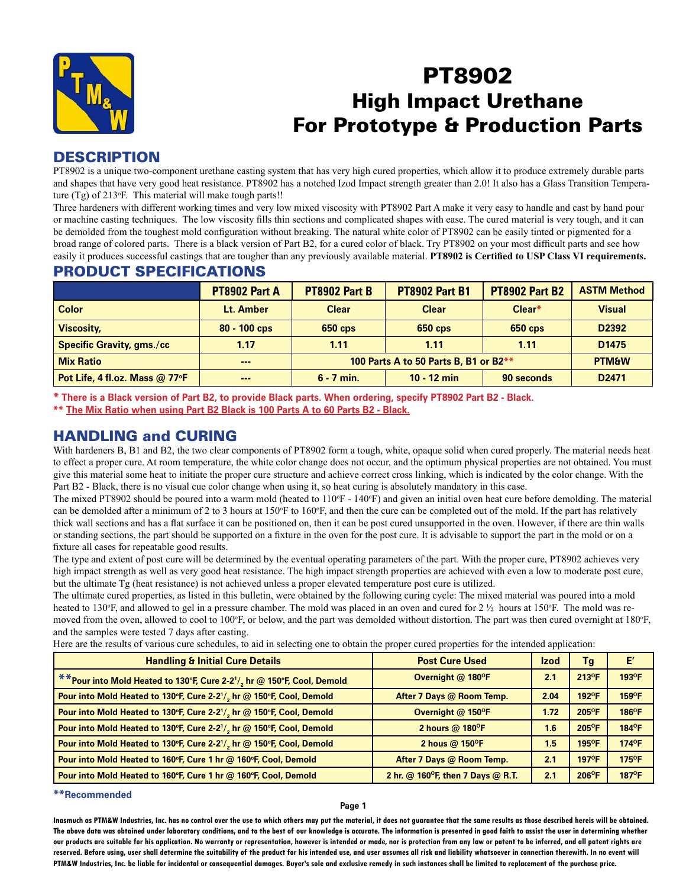

# PT8902 High Impact Urethane For Prototype & Production Parts

### **DESCRIPTION**

PT8902 is a unique two-component urethane casting system that has very high cured properties, which allow it to produce extremely durable parts and shapes that have very good heat resistance. PT8902 has a notched Izod Impact strength greater than 2.0! It also has a Glass Transition Temperature (Tg) of 213°F. This material will make tough parts!!

Three hardeners with different working times and very low mixed viscosity with PT8902 Part A make it very easy to handle and cast by hand pour or machine casting techniques. The low viscosity fills thin sections and complicated shapes with ease. The cured material is very tough, and it can be demolded from the toughest mold configuration without breaking. The natural white color of PT8902 can be easily tinted or pigmented for a broad range of colored parts. There is a black version of Part B2, for a cured color of black. Try PT8902 on your most difficult parts and see how easily it produces successful castings that are tougher than any previously available material. **PT8902 is Certified to USP Class VI requirements.**

### PRODUCT SPECIFICATIONS

|                                  | <b>PT8902 Part A</b>         | <b>PT8902 Part B</b>                  | <b>PT8902 Part B1</b> | <b>PT8902 Part B2</b> | <b>ASTM Method</b> |
|----------------------------------|------------------------------|---------------------------------------|-----------------------|-----------------------|--------------------|
| <b>Color</b>                     | Lt. Amber                    | <b>Clear</b>                          | <b>Clear</b>          | Clear*                | <b>Visual</b>      |
| <b>Viscosity,</b>                | $80 - 100$ cps               | $650$ cps                             | 650 cps               | <b>650 cps</b>        | D <sub>2392</sub>  |
| <b>Specific Gravity, gms./cc</b> | 1.17                         | 1.11                                  | 1.11                  | 1.11                  | D <sub>1475</sub>  |
| <b>Mix Ratio</b>                 | $\qquad \qquad \blacksquare$ | 100 Parts A to 50 Parts B, B1 or B2** |                       |                       | <b>PTM&amp;W</b>   |
| Pot Life, 4 fl.oz. Mass @ 77°F   | $\qquad \qquad \blacksquare$ | $6 - 7$ min.                          | $10 - 12$ min         | 90 seconds            | D <sub>2471</sub>  |

**\* There is a Black version of Part B2, to provide Black parts. When ordering, specify PT8902 Part B2 - Black.**

**\*\* The Mix Ratio when using Part B2 Black is 100 Parts A to 60 Parts B2 - Black.**

# HANDLING and CURING

With hardeners B, B1 and B2, the two clear components of PT8902 form a tough, white, opaque solid when cured properly. The material needs heat to effect a proper cure. At room temperature, the white color change does not occur, and the optimum physical properties are not obtained. You must give this material some heat to initiate the proper cure structure and achieve correct cross linking, which is indicated by the color change. With the Part B2 - Black, there is no visual cue color change when using it, so heat curing is absolutely mandatory in this case.

The mixed PT8902 should be poured into a warm mold (heated to 110°F - 140°F) and given an initial oven heat cure before demolding. The material can be demolded after a minimum of 2 to 3 hours at 150 $\degree$ F to 160 $\degree$ F, and then the cure can be completed out of the mold. If the part has relatively thick wall sections and has a flat surface it can be positioned on, then it can be post cured unsupported in the oven. However, if there are thin walls or standing sections, the part should be supported on a fixture in the oven for the post cure. It is advisable to support the part in the mold or on a fixture all cases for repeatable good results.

The type and extent of post cure will be determined by the eventual operating parameters of the part. With the proper cure, PT8902 achieves very high impact strength as well as very good heat resistance. The high impact strength properties are achieved with even a low to moderate post cure, but the ultimate Tg (heat resistance) is not achieved unless a proper elevated temperature post cure is utilized.

The ultimate cured properties, as listed in this bulletin, were obtained by the following curing cycle: The mixed material was poured into a mold heated to 130°F, and allowed to gel in a pressure chamber. The mold was placed in an oven and cured for  $2 \frac{1}{2}$  hours at 150°F. The mold was removed from the oven, allowed to cool to 100°F, or below, and the part was demolded without distortion. The part was then cured overnight at 180°F, and the samples were tested 7 days after casting.

Here are the results of various cure schedules, to aid in selecting one to obtain the proper cured properties for the intended application:

| <b>Handling &amp; Initial Cure Details</b>                              | <b>Post Cure Used</b>             | <b>Izod</b> | Tg                   | E'                   |
|-------------------------------------------------------------------------|-----------------------------------|-------------|----------------------|----------------------|
| ** Pour into Mold Heated to 130°F, Cure 2-21/, hr @ 150°F, Cool, Demold | Overnight @ 180°F                 | 2.1         | 213°F                | 193°F                |
| Pour into Mold Heated to 130°F, Cure 2-21/, hr @ 150°F, Cool, Demold    | After 7 Days @ Room Temp.         | 2.04        | 192°F                | $159$ <sup>O</sup> F |
| Pour into Mold Heated to 130°F, Cure 2-21/, hr @ 150°F, Cool, Demold    | Overnight @ 150°F                 | 1.72        | 205°F                | 186°F                |
| Pour into Mold Heated to 130°F, Cure 2-21/, hr @ 150°F, Cool, Demold    | 2 hours @ 180°F                   | 1.6         | 205°F                | 184°F                |
| Pour into Mold Heated to 130°F, Cure 2-21/, hr @ 150°F, Cool, Demold    | 2 hous $@$ 150 ${}^{o}$ F         | 1.5         | $195$ <sup>o</sup> F | 174°F                |
| Pour into Mold Heated to 160°F, Cure 1 hr @ 160°F, Cool, Demold         | After 7 Days @ Room Temp.         | 2.1         | 197°F                | 175°F                |
| Pour into Mold Heated to 160°F, Cure 1 hr @ 160°F, Cool, Demold         | 2 hr. @ 160°F, then 7 Days @ R.T. | 2.1         | $206^{\circ}F$       | $187$ <sup>O</sup> F |

#### **\*\*Recommended**

#### **Page 1**

**Inasmuch as PTM&W Industries, Inc. has no control over the use to which others may put the material, it does not guarantee that the same results as those described hereis will be obtained. The above data was obtained under laboratory conditions, and to the best of our knowledge is accurate. The information is presented in good faith to assist the user in determining whether our products are suitable for his application. No warranty or representation, however is intended or made, nor is protection from any law or patent to be inferred, and all patent rights are**  reserved. Before using, user shall determine the suitability of the product for his intended use, and user assumes all risk and liability whatsoever in connection therewith. In no event will **PTM&W Industries, Inc. be liable for incidental or consequential damages. Buyer's sole and exclusive remedy in such instances shall be limited to replacement of the purchase price.**